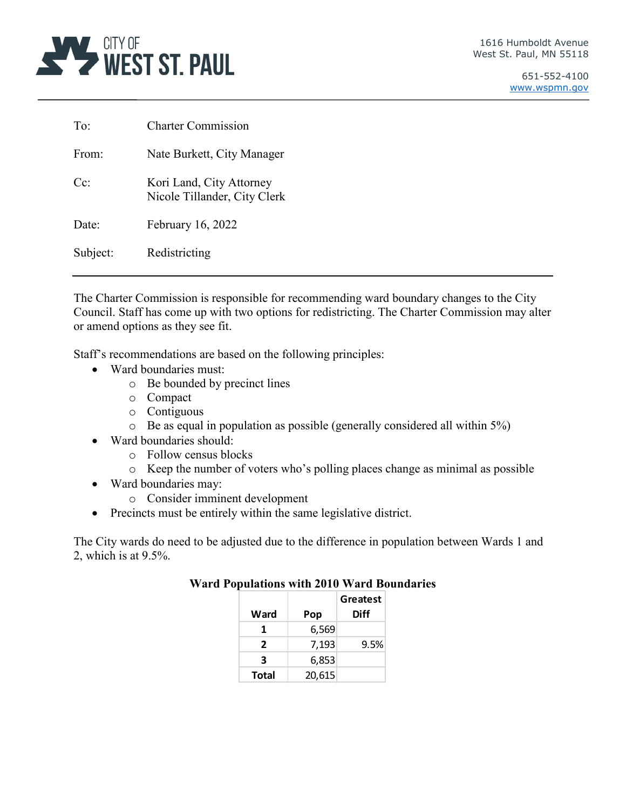

| To:      | <b>Charter Commission</b>                                |
|----------|----------------------------------------------------------|
| From:    | Nate Burkett, City Manager                               |
| $Cc$ :   | Kori Land, City Attorney<br>Nicole Tillander, City Clerk |
| Date:    | February 16, 2022                                        |
| Subject: | Redistricting                                            |

The Charter Commission is responsible for recommending ward boundary changes to the City Council. Staff has come up with two options for redistricting. The Charter Commission may alter or amend options as they see fit.

Staff's recommendations are based on the following principles:

- Ward boundaries must:
	- o Be bounded by precinct lines
	- o Compact
	- o Contiguous
	- o Be as equal in population as possible (generally considered all within 5%)
- Ward boundaries should:
	- o Follow census blocks
	- o Keep the number of voters who's polling places change as minimal as possible
- Ward boundaries may:
	- o Consider imminent development
- Precincts must be entirely within the same legislative district.

The City wards do need to be adjusted due to the difference in population between Wards 1 and 2, which is at 9.5%.

|              |        | Greatest |
|--------------|--------|----------|
| Ward         | Pop    | Diff     |
| 1            | 6,569  |          |
| 2            | 7,193  | 9.5%     |
| 3            | 6,853  |          |
| <b>Total</b> | 20,615 |          |

# **Ward Populations with 2010 Ward Boundaries**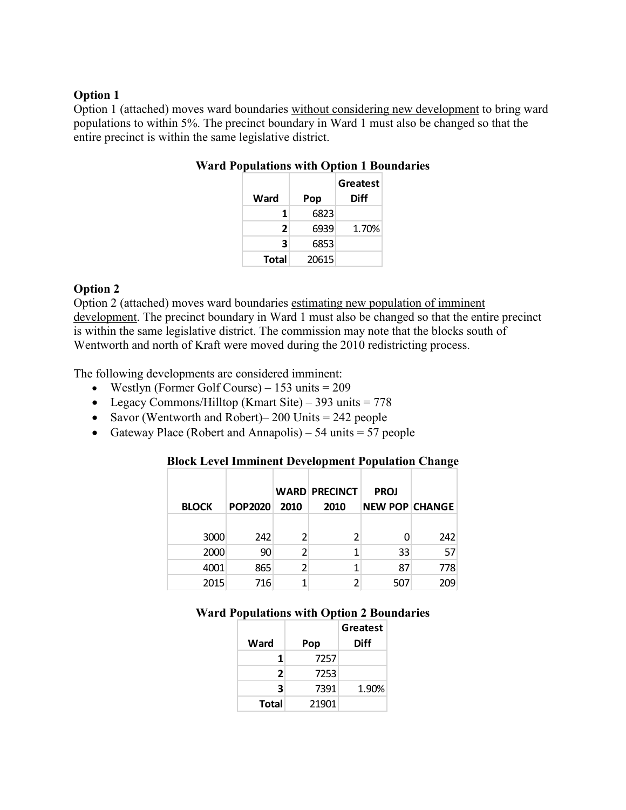### **Option 1**

Option 1 (attached) moves ward boundaries without considering new development to bring ward populations to within 5%. The precinct boundary in Ward 1 must also be changed so that the entire precinct is within the same legislative district.

| Ward         | Pop   | Greatest<br><b>Diff</b> |
|--------------|-------|-------------------------|
| 1            | 6823  |                         |
| 2            | 6939  | 1.70%                   |
| 3            | 6853  |                         |
| <b>Total</b> | 20615 |                         |

# **Ward Populations with Option 1 Boundaries**

## **Option 2**

Option 2 (attached) moves ward boundaries estimating new population of imminent development. The precinct boundary in Ward 1 must also be changed so that the entire precinct is within the same legislative district. The commission may note that the blocks south of Wentworth and north of Kraft were moved during the 2010 redistricting process.

The following developments are considered imminent:

- Westlyn (Former Golf Course)  $153$  units =  $209$
- Legacy Commons/Hilltop (Kmart Site) 393 units =  $778$
- Savor (Wentworth and Robert) 200 Units = 242 people
- Gateway Place (Robert and Annapolis) 54 units  $=$  57 people

### **Block Level Imminent Development Population Change**

| <b>BLOCK</b> | <b>POP2020</b> | 2010 | <b>WARD PRECINCT</b><br>2010 | <b>PROJ</b><br><b>NEW POP CHANGE</b> |     |
|--------------|----------------|------|------------------------------|--------------------------------------|-----|
| 3000         | 242            |      |                              |                                      | 242 |
| 2000         | 90             |      |                              | 33                                   | 57  |
| 4001         | 865            |      |                              | 87                                   | 778 |
| 2015         | 716            |      |                              | 507                                  | 209 |

### **Ward Populations with Option 2 Boundaries**

|       |       | Greatest |
|-------|-------|----------|
| Ward  | Pop   | Diff     |
| 1     | 7257  |          |
| 2     | 7253  |          |
| 3     | 7391  | 1.90%    |
| Total | 21901 |          |